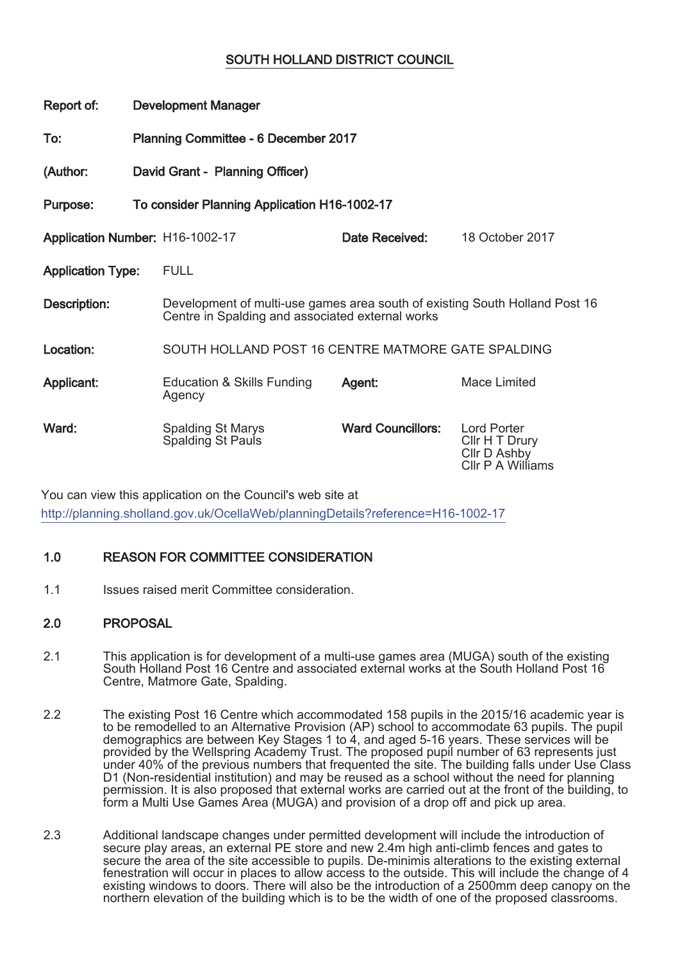# SOUTH HOLLAND DISTRICT COUNCIL

| Report of:                                               | <b>Development Manager</b>                  |                                                                                                                                 |                          |                                                                           |
|----------------------------------------------------------|---------------------------------------------|---------------------------------------------------------------------------------------------------------------------------------|--------------------------|---------------------------------------------------------------------------|
| To:                                                      | <b>Planning Committee - 6 December 2017</b> |                                                                                                                                 |                          |                                                                           |
| (Author:                                                 | David Grant - Planning Officer)             |                                                                                                                                 |                          |                                                                           |
| To consider Planning Application H16-1002-17<br>Purpose: |                                             |                                                                                                                                 |                          |                                                                           |
| Application Number: H16-1002-17                          |                                             |                                                                                                                                 | Date Received:           | 18 October 2017                                                           |
| <b>Application Type:</b>                                 |                                             | <b>FULL</b>                                                                                                                     |                          |                                                                           |
| Description:                                             |                                             | Development of multi-use games area south of existing South Holland Post 16<br>Centre in Spalding and associated external works |                          |                                                                           |
| Location:                                                |                                             | SOUTH HOLLAND POST 16 CENTRE MATMORE GATE SPALDING                                                                              |                          |                                                                           |
| Applicant:                                               |                                             | <b>Education &amp; Skills Funding</b><br>Agency                                                                                 | Agent:                   | Mace Limited                                                              |
| Ward:                                                    |                                             | <b>Spalding St Marys</b><br>Spalding St Pauls                                                                                   | <b>Ward Councillors:</b> | <b>Lord Porter</b><br>Cllr H T Drury<br>Cllr D Ashby<br>CIIr P A Williams |

You can view this application on the Council's web site at http://planning.sholland.gov.uk/OcellaWeb/planningDetails?reference=H16-1002-17

## 1.0 REASON FOR COMMITTEE CONSIDERATION

1.1 **Issues raised merit Committee consideration.** 

## 2.0 PROPOSAL

- 2.1 This application is for development of a multi-use games area (MUGA) south of the existing South Holland Post 16 Centre and associated external works at the South Holland Post 16 Centre, Matmore Gate, Spalding.
- 2.2 The existing Post 16 Centre which accommodated 158 pupils in the 2015/16 academic year is to be remodelled to an Alternative Provision (AP) school to accommodate 63 pupils. The pupil demographics are between Key Stages 1 to 4, and aged 5-16 years. These services will be provided by the Wellspring Academy Trust. The proposed pupil number of 63 represents just under 40% of the previous numbers that frequented the site. The building falls under Use Class D1 (Non-residential institution) and may be reused as a school without the need for planning permission. It is also proposed that external works are carried out at the front of the building, to form a Multi Use Games Area (MUGA) and provision of a drop off and pick up area.
- 2.3 Additional landscape changes under permitted development will include the introduction of secure play areas, an external PE store and new 2.4m high anti-climb fences and gates to secure the area of the site accessible to pupils. De-minimis alterations to the existing external fenestration will occur in places to allow access to the outside. This will include the change of 4 existing windows to doors. There will also be the introduction of a 2500mm deep canopy on the northern elevation of the building which is to be the width of one of the proposed classrooms.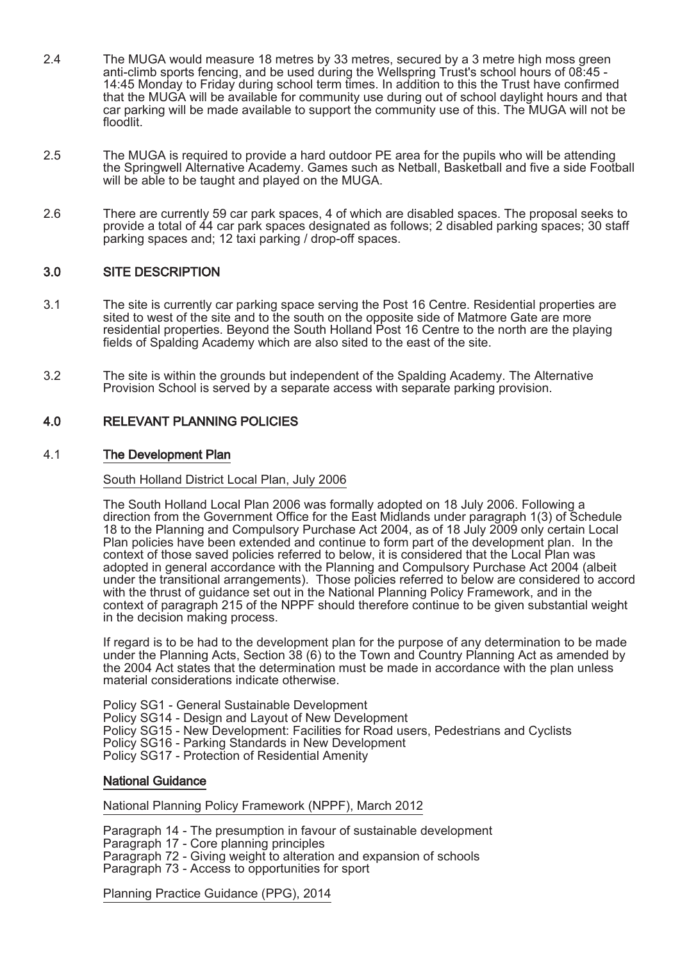- 2.4 The MUGA would measure 18 metres by 33 metres, secured by a 3 metre high moss green anti-climb sports fencing, and be used during the Wellspring Trust's school hours of 08:45 -14:45 Monday to Friday during school term times. In addition to this the Trust have confirmed that the MUGA will be available for community use during out of school daylight hours and that car parking will be made available to support the community use of this. The MUGA will not be floodlit.
- 2.5 The MUGA is required to provide a hard outdoor PE area for the pupils who will be attending the Springwell Alternative Academy. Games such as Netball, Basketball and five a side Football will be able to be taught and played on the MUGA.
- 2.6 There are currently 59 car park spaces, 4 of which are disabled spaces. The proposal seeks to provide a total of 44 car park spaces designated as follows; 2 disabled parking spaces; 30 staff parking spaces and; 12 taxi parking / drop-off spaces.

## 3.0 SITE DESCRIPTION

- 3.1 The site is currently car parking space serving the Post 16 Centre. Residential properties are sited to west of the site and to the south on the opposite side of Matmore Gate are more residential properties. Beyond the South Holland Post 16 Centre to the north are the playing fields of Spalding Academy which are also sited to the east of the site.
- 3.2 The site is within the grounds but independent of the Spalding Academy. The Alternative Provision School is served by a separate access with separate parking provision.

## 4.0 RELEVANT PLANNING POLICIES

### 4.1 The Development Plan

South Holland District Local Plan, July 2006

The South Holland Local Plan 2006 was formally adopted on 18 July 2006. Following a direction from the Government Office for the East Midlands under paragraph 1(3) of Schedule 18 to the Planning and Compulsory Purchase Act 2004, as of 18 July 2009 only certain Local Plan policies have been extended and continue to form part of the development plan. In the context of those saved policies referred to below, it is considered that the Local Plan was adopted in general accordance with the Planning and Compulsory Purchase Act 2004 (albeit under the transitional arrangements). Those policies referred to below are considered to accord with the thrust of guidance set out in the National Planning Policy Framework, and in the context of paragraph 215 of the NPPF should therefore continue to be given substantial weight in the decision making process.

If regard is to be had to the development plan for the purpose of any determination to be made under the Planning Acts, Section 38 (6) to the Town and Country Planning Act as amended by the 2004 Act states that the determination must be made in accordance with the plan unless material considerations indicate otherwise.

Policy SG1 - General Sustainable Development Policy SG14 - Design and Layout of New Development Policy SG15 - New Development: Facilities for Road users, Pedestrians and Cyclists Policy SG16 - Parking Standards in New Development Policy SG17 - Protection of Residential Amenity

### National Guidance

National Planning Policy Framework (NPPF), March 2012

Paragraph 14 - The presumption in favour of sustainable development Paragraph 17 - Core planning principles Paragraph 72 - Giving weight to alteration and expansion of schools Paragraph 73 - Access to opportunities for sport

Planning Practice Guidance (PPG), 2014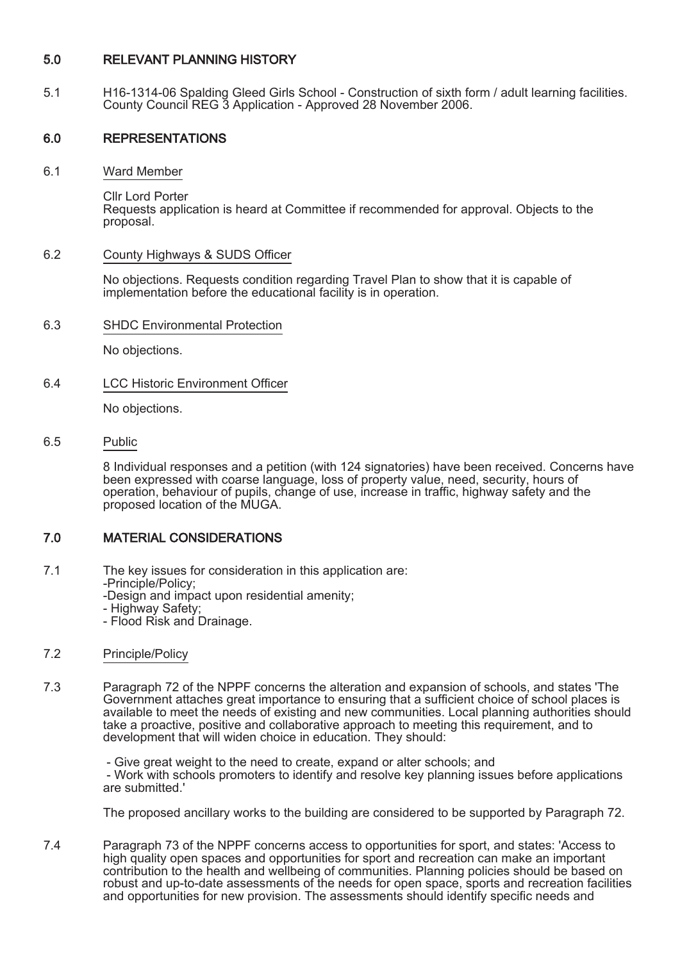## 5.0 RELEVANT PLANNING HISTORY

5.1 H16-1314-06 Spalding Gleed Girls School - Construction of sixth form / adult learning facilities. County Council REG 3 Application - Approved 28 November 2006.

## 6.0 REPRESENTATIONS

6.1 Ward Member

Cllr Lord Porter Requests application is heard at Committee if recommended for approval. Objects to the proposal.

## 6.2 County Highways & SUDS Officer

No objections. Requests condition regarding Travel Plan to show that it is capable of implementation before the educational facility is in operation.

6.3 SHDC Environmental Protection

No objections.

6.4 LCC Historic Environment Officer

No objections.

6.5 Public

8 Individual responses and a petition (with 124 signatories) have been received. Concerns have been expressed with coarse language, loss of property value, need, security, hours of operation, behaviour of pupils, change of use, increase in traffic, highway safety and the proposed location of the MUGA.

## 7.0 MATERIAL CONSIDERATIONS

- 7.1 The key issues for consideration in this application are:
	- -Principle/Policy;
	- -Design and impact upon residential amenity;
	- Highway Safety;
	- Flood Risk and Drainage.

### 7.2 Principle/Policy

7.3 Paragraph 72 of the NPPF concerns the alteration and expansion of schools, and states 'The Government attaches great importance to ensuring that a sufficient choice of school places is available to meet the needs of existing and new communities. Local planning authorities should take a proactive, positive and collaborative approach to meeting this requirement, and to development that will widen choice in education. They should:

> - Give great weight to the need to create, expand or alter schools; and - Work with schools promoters to identify and resolve key planning issues before applications are submitted.'

> The proposed ancillary works to the building are considered to be supported by Paragraph 72.

7.4 Paragraph 73 of the NPPF concerns access to opportunities for sport, and states: 'Access to high quality open spaces and opportunities for sport and recreation can make an important contribution to the health and wellbeing of communities. Planning policies should be based on robust and up-to-date assessments of the needs for open space, sports and recreation facilities and opportunities for new provision. The assessments should identify specific needs and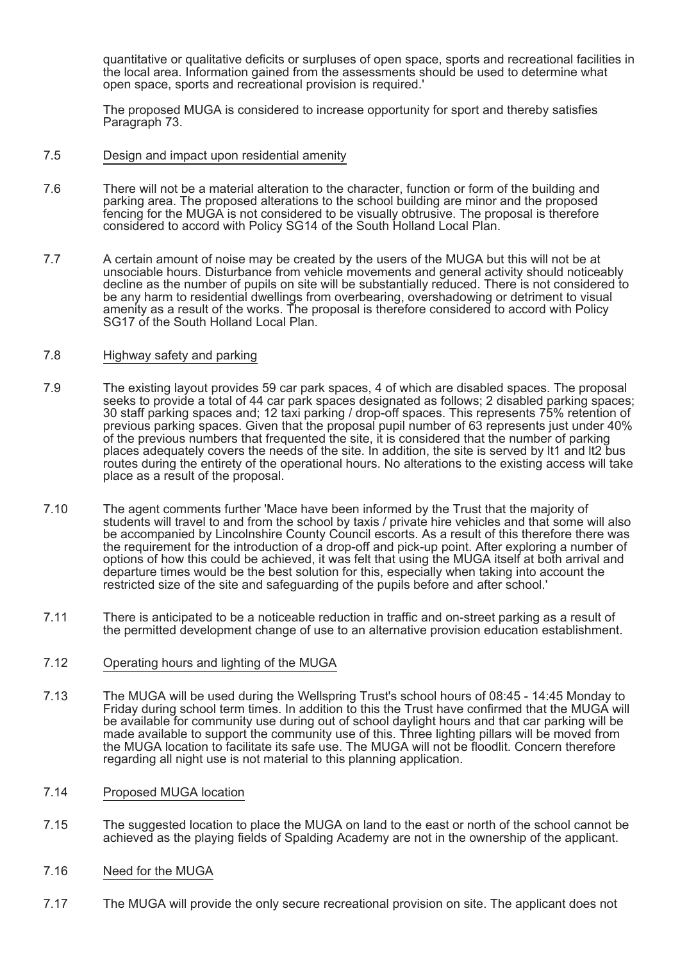quantitative or qualitative deficits or surpluses of open space, sports and recreational facilities in the local area. Information gained from the assessments should be used to determine what open space, sports and recreational provision is required.'

The proposed MUGA is considered to increase opportunity for sport and thereby satisfies Paragraph 73.

#### 7.5 Design and impact upon residential amenity

- 7.6 There will not be a material alteration to the character, function or form of the building and parking area. The proposed alterations to the school building are minor and the proposed fencing for the MUGA is not considered to be visually obtrusive. The proposal is therefore considered to accord with Policy SG14 of the South Holland Local Plan.
- 7.7 A certain amount of noise may be created by the users of the MUGA but this will not be at unsociable hours. Disturbance from vehicle movements and general activity should noticeably decline as the number of pupils on site will be substantially reduced. There is not considered to be any harm to residential dwellings from overbearing, overshadowing or detriment to visual amenity as a result of the works. The proposal is therefore considered to accord with Policy SG17 of the South Holland Local Plan.

### 7.8 Highway safety and parking

- 7.9 The existing layout provides 59 car park spaces, 4 of which are disabled spaces. The proposal seeks to provide a total of 44 car park spaces designated as follows; 2 disabled parking spaces; 30 staff parking spaces and; 12 taxi parking / drop-off spaces. This represents 75% retention of previous parking spaces. Given that the proposal pupil number of 63 represents just under 40% of the previous numbers that frequented the site, it is considered that the number of parking places adequately covers the needs of the site. In addition, the site is served by lt1 and lt2 bus routes during the entirety of the operational hours. No alterations to the existing access will take place as a result of the proposal.
- 7.10 The agent comments further 'Mace have been informed by the Trust that the majority of students will travel to and from the school by taxis / private hire vehicles and that some will also be accompanied by Lincolnshire County Council escorts. As a result of this therefore there was the requirement for the introduction of a drop-off and pick-up point. After exploring a number of options of how this could be achieved, it was felt that using the MUGA itself at both arrival and departure times would be the best solution for this, especially when taking into account the restricted size of the site and safeguarding of the pupils before and after school.'
- 7.11 There is anticipated to be a noticeable reduction in traffic and on-street parking as a result of the permitted development change of use to an alternative provision education establishment.

### 7.12 Operating hours and lighting of the MUGA

- 7.13 The MUGA will be used during the Wellspring Trust's school hours of 08:45 14:45 Monday to Friday during school term times. In addition to this the Trust have confirmed that the MUGA will be available for community use during out of school daylight hours and that car parking will be made available to support the community use of this. Three lighting pillars will be moved from the MUGA location to facilitate its safe use. The MUGA will not be floodlit. Concern therefore regarding all night use is not material to this planning application.
- 7.14 Proposed MUGA location
- 7.15 The suggested location to place the MUGA on land to the east or north of the school cannot be achieved as the playing fields of Spalding Academy are not in the ownership of the applicant.
- 7.16 Need for the MUGA
- 7.17 The MUGA will provide the only secure recreational provision on site. The applicant does not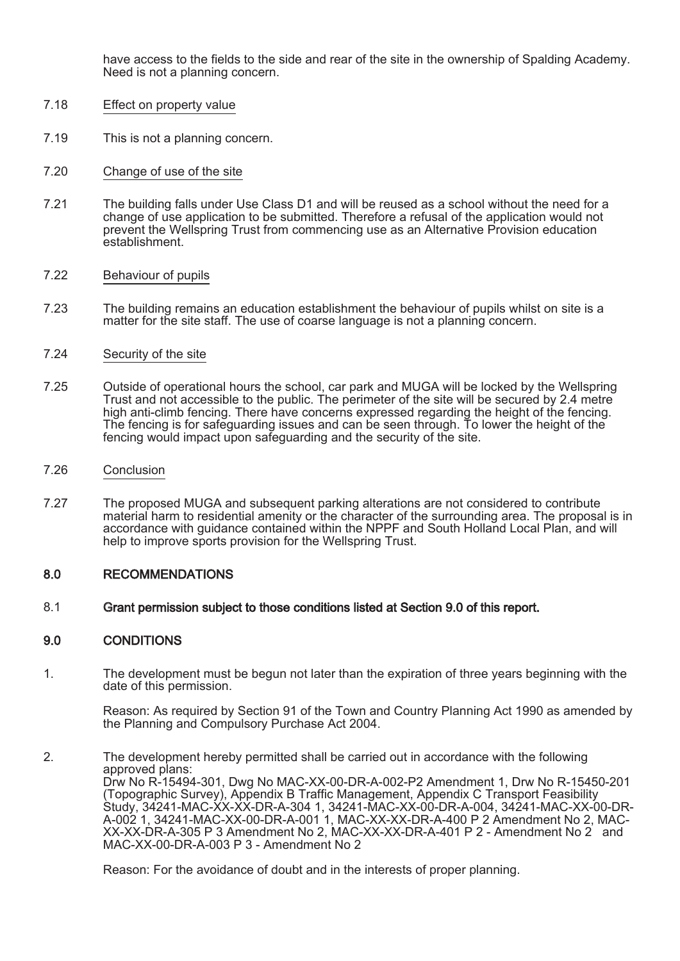have access to the fields to the side and rear of the site in the ownership of Spalding Academy. Need is not a planning concern.

- 7.18 Effect on property value
- 7.19 This is not a planning concern.
- 7.20 Change of use of the site
- 7.21 The building falls under Use Class D1 and will be reused as a school without the need for a change of use application to be submitted. Therefore a refusal of the application would not prevent the Wellspring Trust from commencing use as an Alternative Provision education establishment.

#### 7.22 Behaviour of pupils

- 7.23 The building remains an education establishment the behaviour of pupils whilst on site is a matter for the site staff. The use of coarse language is not a planning concern.
- 7.24 Security of the site
- 7.25 Outside of operational hours the school, car park and MUGA will be locked by the Wellspring Trust and not accessible to the public. The perimeter of the site will be secured by 2.4 metre high anti-climb fencing. There have concerns expressed regarding the height of the fencing. The fencing is for safeguarding issues and can be seen through. To lower the height of the fencing would impact upon safeguarding and the security of the site.
- 7.26 Conclusion
- 7.27 The proposed MUGA and subsequent parking alterations are not considered to contribute material harm to residential amenity or the character of the surrounding area. The proposal is in accordance with guidance contained within the NPPF and South Holland Local Plan, and will help to improve sports provision for the Wellspring Trust.

### 8.0 RECOMMENDATIONS

8.1 Grant permission subject to those conditions listed at Section 9.0 of this report.

### 9.0 CONDITIONS

1. The development must be begun not later than the expiration of three years beginning with the date of this permission.

> Reason: As required by Section 91 of the Town and Country Planning Act 1990 as amended by the Planning and Compulsory Purchase Act 2004.

2. The development hereby permitted shall be carried out in accordance with the following approved plans: Drw No R-15494-301, Dwg No MAC-XX-00-DR-A-002-P2 Amendment 1, Drw No R-15450-201 (Topographic Survey), Appendix B Traffic Management, Appendix C Transport Feasibility Study, 34241-MAC-XX-XX-DR-A-304 1, 34241-MAC-XX-00-DR-A-004, 34241-MAC-XX-00-DR-A-002 1, 34241-MAC-XX-00-DR-A-001 1, MAC-XX-XX-DR-A-400 P 2 Amendment No 2, MAC-XX-XX-DR-A-305 P 3 Amendment No 2, MAC-XX-XX-DR-A-401 P 2 - Amendment No 2 and MAC-XX-00-DR-A-003 P 3 - Amendment No 2

Reason: For the avoidance of doubt and in the interests of proper planning.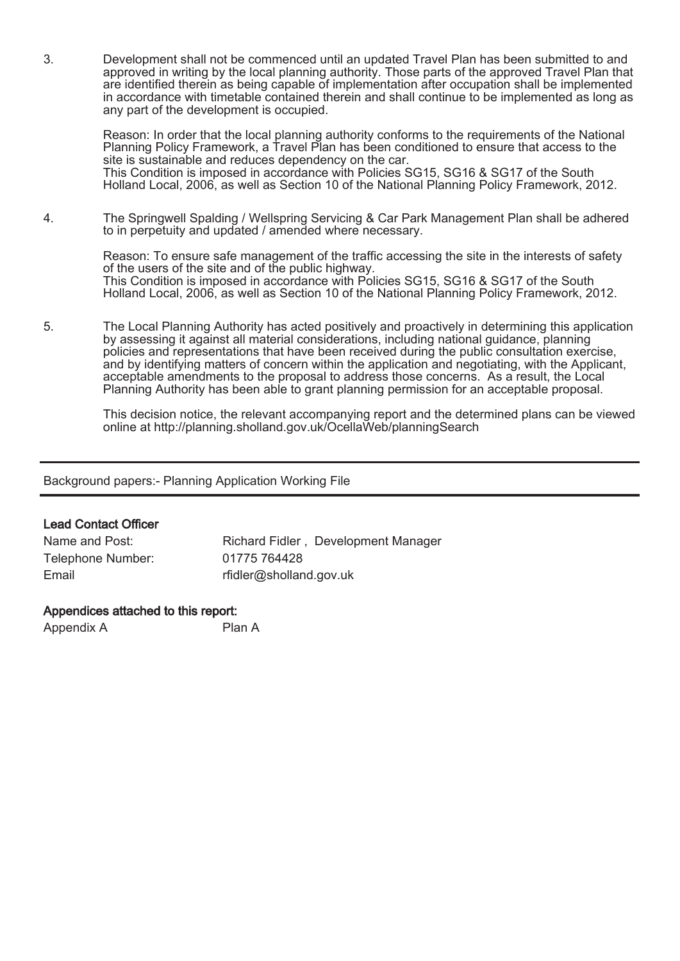3. Development shall not be commenced until an updated Travel Plan has been submitted to and approved in writing by the local planning authority. Those parts of the approved Travel Plan that are identified therein as being capable of implementation after occupation shall be implemented in accordance with timetable contained therein and shall continue to be implemented as long as any part of the development is occupied.

Reason: In order that the local planning authority conforms to the requirements of the National Planning Policy Framework, a Travel Plan has been conditioned to ensure that access to the site is sustainable and reduces dependency on the car. This Condition is imposed in accordance with Policies SG15, SG16 & SG17 of the South Holland Local, 2006, as well as Section 10 of the National Planning Policy Framework, 2012.

4. The Springwell Spalding / Wellspring Servicing & Car Park Management Plan shall be adhered to in perpetuity and updated / amended where necessary.

Reason: To ensure safe management of the traffic accessing the site in the interests of safety of the users of the site and of the public highway. This Condition is imposed in accordance with Policies SG15, SG16 & SG17 of the South Holland Local, 2006, as well as Section 10 of the National Planning Policy Framework, 2012.

5. The Local Planning Authority has acted positively and proactively in determining this application by assessing it against all material considerations, including national guidance, planning policies and representations that have been received during the public consultation exercise, and by identifying matters of concern within the application and negotiating, with the Applicant, acceptable amendments to the proposal to address those concerns. As a result, the Local Planning Authority has been able to grant planning permission for an acceptable proposal.

This decision notice, the relevant accompanying report and the determined plans can be viewed online at http://planning.sholland.gov.uk/OcellaWeb/planningSearch

Background papers:- Planning Application Working File

## Lead Contact Officer

| Name and Post:    | Richard Fidler, Development Manager |
|-------------------|-------------------------------------|
| Telephone Number: | 01775 764428                        |
| Email             | rfidler@sholland.gov.uk             |

## Appendices attached to this report:

Appendix A Plan A